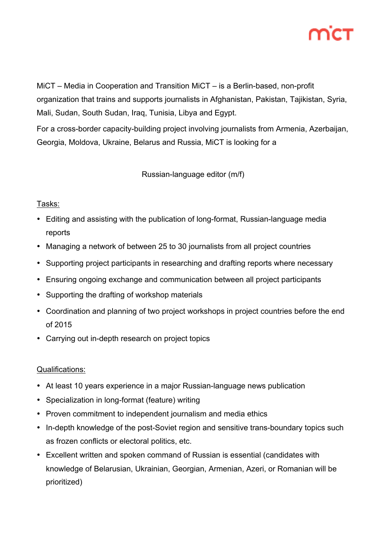MiCT – Media in Cooperation and Transition MiCT – is a Berlin-based, non-profit organization that trains and supports journalists in Afghanistan, Pakistan, Tajikistan, Syria, Mali, Sudan, South Sudan, Iraq, Tunisia, Libya and Egypt.

For a cross-border capacity-building project involving journalists from Armenia, Azerbaijan, Georgia, Moldova, Ukraine, Belarus and Russia, MiCT is looking for a

Russian-language editor (m/f)

# Tasks:

- Editing and assisting with the publication of long-format, Russian-language media reports
- Managing a network of between 25 to 30 journalists from all project countries
- Supporting project participants in researching and drafting reports where necessary
- Ensuring ongoing exchange and communication between all project participants
- Supporting the drafting of workshop materials
- Coordination and planning of two project workshops in project countries before the end of 2015
- Carrying out in-depth research on project topics

# Qualifications:

- At least 10 years experience in a major Russian-language news publication
- Specialization in long-format (feature) writing
- Proven commitment to independent journalism and media ethics
- In-depth knowledge of the post-Soviet region and sensitive trans-boundary topics such as frozen conflicts or electoral politics, etc.
- Excellent written and spoken command of Russian is essential (candidates with knowledge of Belarusian, Ukrainian, Georgian, Armenian, Azeri, or Romanian will be prioritized)